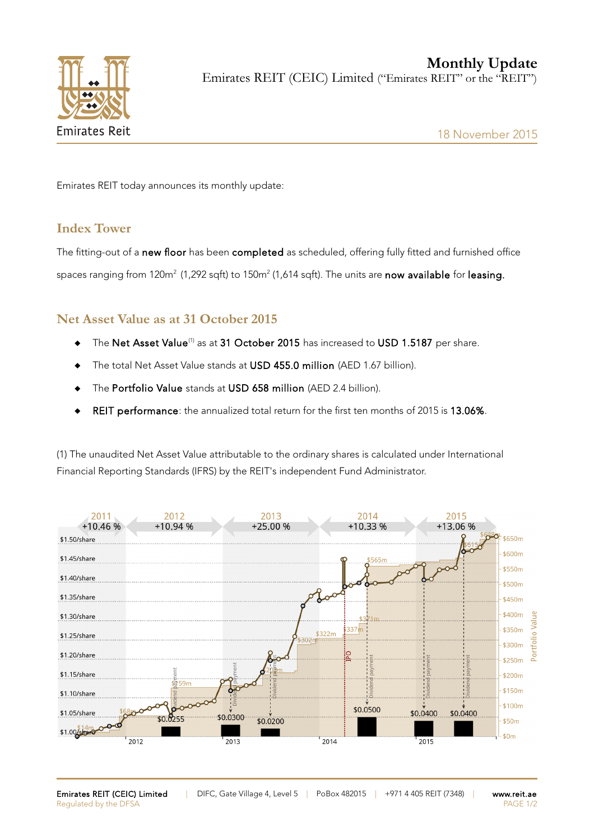

Emirates REIT today announces its monthly update:

## **Index Tower**

The fitting-out of a new floor has been completed as scheduled, offering fully fitted and furnished office spaces ranging from 120m $^2$  (1,292 sqft) to 150m $^2$  (1,614 sqft). The units are **now available** for **leasing.** 

## **Net Asset Value as at 31 October 2015**

- $\bullet$  The Net Asset Value<sup>(1)</sup> as at 31 October 2015 has increased to USD 1.5187 per share.
- ◆ The total Net Asset Value stands at USD 455.0 million (AED 1.67 billion).
- ◆ The Portfolio Value stands at USD 658 million (AED 2.4 billion).
- REIT performance: the annualized total return for the first ten months of 2015 is 13.06%.

(1) The unaudited Net Asset Value attributable to the ordinary shares is calculated under International Financial Reporting Standards (IFRS) by the REIT's independent Fund Administrator.